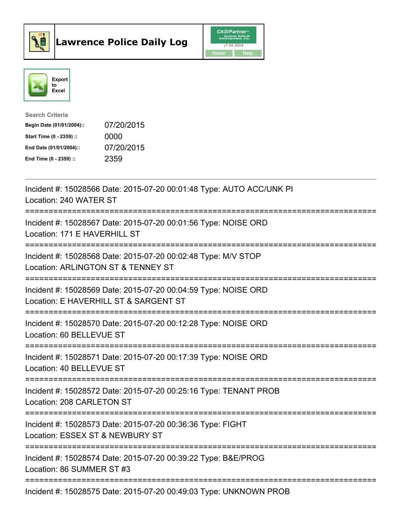



| <b>Search Criteria</b>    |            |
|---------------------------|------------|
| Begin Date (01/01/2004):: | 07/20/2015 |
| Start Time (0 - 2359) ::  | 0000       |
| End Date (01/01/2004)::   | 07/20/2015 |
| End Time $(0 - 2359)$ :   | 2359       |

| Incident #: 15028566 Date: 2015-07-20 00:01:48 Type: AUTO ACC/UNK PI<br>Location: 240 WATER ST                                       |
|--------------------------------------------------------------------------------------------------------------------------------------|
| Incident #: 15028567 Date: 2015-07-20 00:01:56 Type: NOISE ORD<br>Location: 171 E HAVERHILL ST                                       |
| Incident #: 15028568 Date: 2015-07-20 00:02:48 Type: M/V STOP<br>Location: ARLINGTON ST & TENNEY ST<br>=========================     |
| Incident #: 15028569 Date: 2015-07-20 00:04:59 Type: NOISE ORD<br>Location: E HAVERHILL ST & SARGENT ST<br>========================= |
| Incident #: 15028570 Date: 2015-07-20 00:12:28 Type: NOISE ORD<br>Location: 60 BELLEVUE ST                                           |
| Incident #: 15028571 Date: 2015-07-20 00:17:39 Type: NOISE ORD<br>Location: 40 BELLEVUE ST                                           |
| ------------------<br>Incident #: 15028572 Date: 2015-07-20 00:25:16 Type: TENANT PROB<br>Location: 208 CARLETON ST                  |
| Incident #: 15028573 Date: 2015-07-20 00:36:36 Type: FIGHT<br>Location: ESSEX ST & NEWBURY ST                                        |
| Incident #: 15028574 Date: 2015-07-20 00:39:22 Type: B&E/PROG<br>Location: 86 SUMMER ST #3                                           |
| Incident #: 15028575 Date: 2015-07-20 00:49:03 Type: UNKNOWN PROB                                                                    |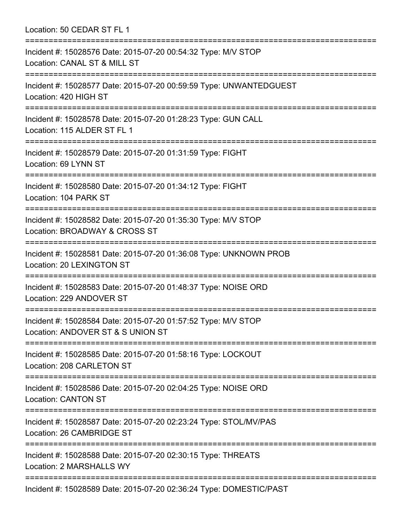Location: 50 CEDAR ST FL 1 =========================================================================== Incident #: 15028576 Date: 2015-07-20 00:54:32 Type: M/V STOP Location: CANAL ST & MILL ST =========================================================================== Incident #: 15028577 Date: 2015-07-20 00:59:59 Type: UNWANTEDGUEST Location: 420 HIGH ST =========================================================================== Incident #: 15028578 Date: 2015-07-20 01:28:23 Type: GUN CALL Location: 115 ALDER ST FL 1 =========================================================================== Incident #: 15028579 Date: 2015-07-20 01:31:59 Type: FIGHT Location: 69 LYNN ST =========================================================================== Incident #: 15028580 Date: 2015-07-20 01:34:12 Type: FIGHT Location: 104 PARK ST =========================================================================== Incident #: 15028582 Date: 2015-07-20 01:35:30 Type: M/V STOP Location: BROADWAY & CROSS ST =========================================================================== Incident #: 15028581 Date: 2015-07-20 01:36:08 Type: UNKNOWN PROB Location: 20 LEXINGTON ST =========================================================================== Incident #: 15028583 Date: 2015-07-20 01:48:37 Type: NOISE ORD Location: 229 ANDOVER ST =========================================================================== Incident #: 15028584 Date: 2015-07-20 01:57:52 Type: M/V STOP Location: ANDOVER ST & S UNION ST =========================================================================== Incident #: 15028585 Date: 2015-07-20 01:58:16 Type: LOCKOUT Location: 208 CARLETON ST =========================================================================== Incident #: 15028586 Date: 2015-07-20 02:04:25 Type: NOISE ORD Location: CANTON ST =========================================================================== Incident #: 15028587 Date: 2015-07-20 02:23:24 Type: STOL/MV/PAS Location: 26 CAMBRIDGE ST =========================================================================== Incident #: 15028588 Date: 2015-07-20 02:30:15 Type: THREATS Location: 2 MARSHALLS WY =========================================================================== Incident #: 15028589 Date: 2015-07-20 02:36:24 Type: DOMESTIC/PAST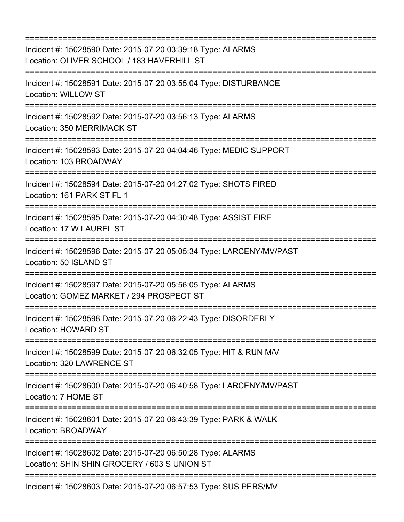| Incident #: 15028590 Date: 2015-07-20 03:39:18 Type: ALARMS<br>Location: OLIVER SCHOOL / 183 HAVERHILL ST<br>:============================== |
|----------------------------------------------------------------------------------------------------------------------------------------------|
| Incident #: 15028591 Date: 2015-07-20 03:55:04 Type: DISTURBANCE<br><b>Location: WILLOW ST</b><br>:============================              |
| Incident #: 15028592 Date: 2015-07-20 03:56:13 Type: ALARMS<br>Location: 350 MERRIMACK ST                                                    |
| Incident #: 15028593 Date: 2015-07-20 04:04:46 Type: MEDIC SUPPORT<br>Location: 103 BROADWAY                                                 |
| Incident #: 15028594 Date: 2015-07-20 04:27:02 Type: SHOTS FIRED<br>Location: 161 PARK ST FL 1                                               |
| Incident #: 15028595 Date: 2015-07-20 04:30:48 Type: ASSIST FIRE<br>Location: 17 W LAUREL ST<br>;===================================         |
| Incident #: 15028596 Date: 2015-07-20 05:05:34 Type: LARCENY/MV/PAST<br>Location: 50 ISLAND ST                                               |
| Incident #: 15028597 Date: 2015-07-20 05:56:05 Type: ALARMS<br>Location: GOMEZ MARKET / 294 PROSPECT ST<br>================================  |
| Incident #: 15028598 Date: 2015-07-20 06:22:43 Type: DISORDERLY<br>Location: HOWARD ST                                                       |
| Incident #: 15028599 Date: 2015-07-20 06:32:05 Type: HIT & RUN M/V<br>Location: 320 LAWRENCE ST                                              |
| Incident #: 15028600 Date: 2015-07-20 06:40:58 Type: LARCENY/MV/PAST<br>Location: 7 HOME ST                                                  |
| Incident #: 15028601 Date: 2015-07-20 06:43:39 Type: PARK & WALK<br>Location: BROADWAY                                                       |
| Incident #: 15028602 Date: 2015-07-20 06:50:28 Type: ALARMS<br>Location: SHIN SHIN GROCERY / 603 S UNION ST                                  |
| Incident #: 15028603 Date: 2015-07-20 06:57:53 Type: SUS PERS/MV                                                                             |

Location: 135 BRADFORD ST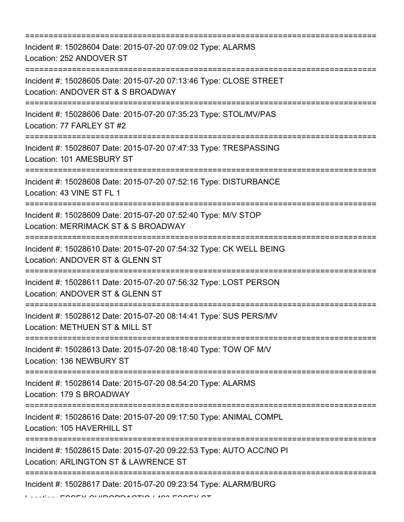| Incident #: 15028604 Date: 2015-07-20 07:09:02 Type: ALARMS<br>Location: 252 ANDOVER ST                     |
|-------------------------------------------------------------------------------------------------------------|
| Incident #: 15028605 Date: 2015-07-20 07:13:46 Type: CLOSE STREET<br>Location: ANDOVER ST & S BROADWAY      |
| Incident #: 15028606 Date: 2015-07-20 07:35:23 Type: STOL/MV/PAS<br>Location: 77 FARLEY ST #2               |
| Incident #: 15028607 Date: 2015-07-20 07:47:33 Type: TRESPASSING<br>Location: 101 AMESBURY ST               |
| Incident #: 15028608 Date: 2015-07-20 07:52:16 Type: DISTURBANCE<br>Location: 43 VINE ST FL 1               |
| Incident #: 15028609 Date: 2015-07-20 07:52:40 Type: M/V STOP<br>Location: MERRIMACK ST & S BROADWAY        |
| Incident #: 15028610 Date: 2015-07-20 07:54:32 Type: CK WELL BEING<br>Location: ANDOVER ST & GLENN ST       |
| Incident #: 15028611 Date: 2015-07-20 07:56:32 Type: LOST PERSON<br>Location: ANDOVER ST & GLENN ST         |
| Incident #: 15028612 Date: 2015-07-20 08:14:41 Type: SUS PERS/MV<br>Location: METHUEN ST & MILL ST          |
| Incident #: 15028613 Date: 2015-07-20 08:18:40 Type: TOW OF M/V<br>Location: 136 NEWBURY ST                 |
| Incident #: 15028614 Date: 2015-07-20 08:54:20 Type: ALARMS<br>Location: 179 S BROADWAY                     |
| Incident #: 15028616 Date: 2015-07-20 09:17:50 Type: ANIMAL COMPL<br>Location: 105 HAVERHILL ST             |
| Incident #: 15028615 Date: 2015-07-20 09:22:53 Type: AUTO ACC/NO PI<br>Location: ARLINGTON ST & LAWRENCE ST |
| Incident #: 15028617 Date: 2015-07-20 09:23:54 Type: ALARM/BURG                                             |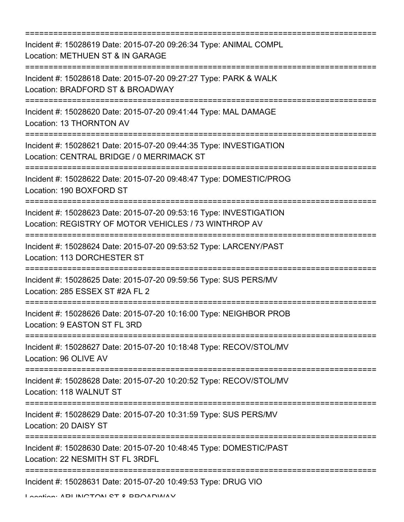=========================================================================== Incident #: 15028619 Date: 2015-07-20 09:26:34 Type: ANIMAL COMPL Location: METHUEN ST & IN GARAGE =========================================================================== Incident #: 15028618 Date: 2015-07-20 09:27:27 Type: PARK & WALK Location: BRADFORD ST & BROADWAY =========================================================================== Incident #: 15028620 Date: 2015-07-20 09:41:44 Type: MAL DAMAGE Location: 13 THORNTON AV =========================================================================== Incident #: 15028621 Date: 2015-07-20 09:44:35 Type: INVESTIGATION Location: CENTRAL BRIDGE / 0 MERRIMACK ST =========================================================================== Incident #: 15028622 Date: 2015-07-20 09:48:47 Type: DOMESTIC/PROG Location: 190 BOXFORD ST =========================================================================== Incident #: 15028623 Date: 2015-07-20 09:53:16 Type: INVESTIGATION Location: REGISTRY OF MOTOR VEHICLES / 73 WINTHROP AV =========================================================================== Incident #: 15028624 Date: 2015-07-20 09:53:52 Type: LARCENY/PAST Location: 113 DORCHESTER ST =========================================================================== Incident #: 15028625 Date: 2015-07-20 09:59:56 Type: SUS PERS/MV Location: 285 ESSEX ST #2A FL 2 =========================================================================== Incident #: 15028626 Date: 2015-07-20 10:16:00 Type: NEIGHBOR PROB Location: 9 EASTON ST FL 3RD =========================================================================== Incident #: 15028627 Date: 2015-07-20 10:18:48 Type: RECOV/STOL/MV Location: 96 OLIVE AV =========================================================================== Incident #: 15028628 Date: 2015-07-20 10:20:52 Type: RECOV/STOL/MV Location: 118 WALNUT ST =========================================================================== Incident #: 15028629 Date: 2015-07-20 10:31:59 Type: SUS PERS/MV Location: 20 DAISY ST =========================================================================== Incident #: 15028630 Date: 2015-07-20 10:48:45 Type: DOMESTIC/PAST Location: 22 NESMITH ST FL 3RDFL =========================================================================== Incident #: 15028631 Date: 2015-07-20 10:49:53 Type: DRUG VIO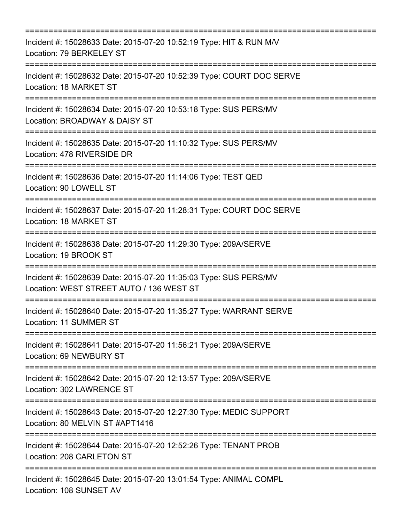| Incident #: 15028633 Date: 2015-07-20 10:52:19 Type: HIT & RUN M/V<br>Location: 79 BERKELEY ST               |
|--------------------------------------------------------------------------------------------------------------|
| Incident #: 15028632 Date: 2015-07-20 10:52:39 Type: COURT DOC SERVE<br>Location: 18 MARKET ST               |
| Incident #: 15028634 Date: 2015-07-20 10:53:18 Type: SUS PERS/MV<br>Location: BROADWAY & DAISY ST            |
| Incident #: 15028635 Date: 2015-07-20 11:10:32 Type: SUS PERS/MV<br>Location: 478 RIVERSIDE DR               |
| Incident #: 15028636 Date: 2015-07-20 11:14:06 Type: TEST QED<br>Location: 90 LOWELL ST                      |
| Incident #: 15028637 Date: 2015-07-20 11:28:31 Type: COURT DOC SERVE<br>Location: 18 MARKET ST               |
| Incident #: 15028638 Date: 2015-07-20 11:29:30 Type: 209A/SERVE<br>Location: 19 BROOK ST                     |
| Incident #: 15028639 Date: 2015-07-20 11:35:03 Type: SUS PERS/MV<br>Location: WEST STREET AUTO / 136 WEST ST |
| Incident #: 15028640 Date: 2015-07-20 11:35:27 Type: WARRANT SERVE<br>Location: 11 SUMMER ST                 |
| Incident #: 15028641 Date: 2015-07-20 11:56:21 Type: 209A/SERVE<br>Location: 69 NEWBURY ST                   |
| Incident #: 15028642 Date: 2015-07-20 12:13:57 Type: 209A/SERVE<br>Location: 302 LAWRENCE ST                 |
| Incident #: 15028643 Date: 2015-07-20 12:27:30 Type: MEDIC SUPPORT<br>Location: 80 MELVIN ST #APT1416        |
| Incident #: 15028644 Date: 2015-07-20 12:52:26 Type: TENANT PROB<br>Location: 208 CARLETON ST                |
| Incident #: 15028645 Date: 2015-07-20 13:01:54 Type: ANIMAL COMPL<br>Location: 108 SUNSET AV                 |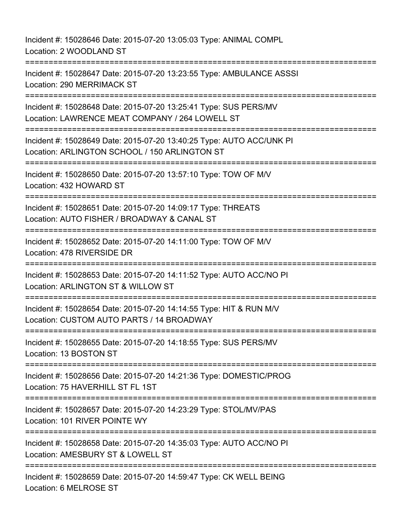Incident #: 15028646 Date: 2015-07-20 13:05:03 Type: ANIMAL COMPL Location: 2 WOODLAND ST =========================================================================== Incident #: 15028647 Date: 2015-07-20 13:23:55 Type: AMBULANCE ASSSI Location: 290 MERRIMACK ST =========================================================================== Incident #: 15028648 Date: 2015-07-20 13:25:41 Type: SUS PERS/MV Location: LAWRENCE MEAT COMPANY / 264 LOWELL ST =========================================================================== Incident #: 15028649 Date: 2015-07-20 13:40:25 Type: AUTO ACC/UNK PI Location: ARLINGTON SCHOOL / 150 ARLINGTON ST =========================================================================== Incident #: 15028650 Date: 2015-07-20 13:57:10 Type: TOW OF M/V Location: 432 HOWARD ST =========================================================================== Incident #: 15028651 Date: 2015-07-20 14:09:17 Type: THREATS Location: AUTO FISHER / BROADWAY & CANAL ST =========================================================================== Incident #: 15028652 Date: 2015-07-20 14:11:00 Type: TOW OF M/V Location: 478 RIVERSIDE DR =========================================================================== Incident #: 15028653 Date: 2015-07-20 14:11:52 Type: AUTO ACC/NO PI Location: ARLINGTON ST & WILLOW ST =========================================================================== Incident #: 15028654 Date: 2015-07-20 14:14:55 Type: HIT & RUN M/V Location: CUSTOM AUTO PARTS / 14 BROADWAY =========================================================================== Incident #: 15028655 Date: 2015-07-20 14:18:55 Type: SUS PERS/MV Location: 13 BOSTON ST =========================================================================== Incident #: 15028656 Date: 2015-07-20 14:21:36 Type: DOMESTIC/PROG Location: 75 HAVERHILL ST FL 1ST =========================================================================== Incident #: 15028657 Date: 2015-07-20 14:23:29 Type: STOL/MV/PAS Location: 101 RIVER POINTE WY =========================================================================== Incident #: 15028658 Date: 2015-07-20 14:35:03 Type: AUTO ACC/NO PI Location: AMESBURY ST & LOWELL ST =========================================================================== Incident #: 15028659 Date: 2015-07-20 14:59:47 Type: CK WELL BEING Location: 6 MELROSE ST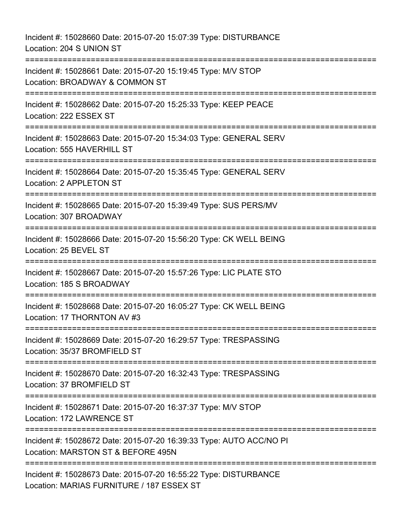Incident #: 15028660 Date: 2015-07-20 15:07:39 Type: DISTURBANCE Location: 204 S UNION ST =========================================================================== Incident #: 15028661 Date: 2015-07-20 15:19:45 Type: M/V STOP Location: BROADWAY & COMMON ST =========================================================================== Incident #: 15028662 Date: 2015-07-20 15:25:33 Type: KEEP PEACE Location: 222 ESSEX ST =========================================================================== Incident #: 15028663 Date: 2015-07-20 15:34:03 Type: GENERAL SERV Location: 555 HAVERHILL ST =========================================================================== Incident #: 15028664 Date: 2015-07-20 15:35:45 Type: GENERAL SERV Location: 2 APPLETON ST =========================================================================== Incident #: 15028665 Date: 2015-07-20 15:39:49 Type: SUS PERS/MV Location: 307 BROADWAY =========================================================================== Incident #: 15028666 Date: 2015-07-20 15:56:20 Type: CK WELL BEING Location: 25 BEVEL ST =========================================================================== Incident #: 15028667 Date: 2015-07-20 15:57:26 Type: LIC PLATE STO Location: 185 S BROADWAY ===================================== Incident #: 15028668 Date: 2015-07-20 16:05:27 Type: CK WELL BEING Location: 17 THORNTON AV #3 =========================================================================== Incident #: 15028669 Date: 2015-07-20 16:29:57 Type: TRESPASSING Location: 35/37 BROMFIELD ST =========================================================================== Incident #: 15028670 Date: 2015-07-20 16:32:43 Type: TRESPASSING Location: 37 BROMFIELD ST =========================================================================== Incident #: 15028671 Date: 2015-07-20 16:37:37 Type: M/V STOP Location: 172 LAWRENCE ST =========================================================================== Incident #: 15028672 Date: 2015-07-20 16:39:33 Type: AUTO ACC/NO PI Location: MARSTON ST & BEFORE 495N =========================================================================== Incident #: 15028673 Date: 2015-07-20 16:55:22 Type: DISTURBANCE Location: MARIAS FURNITURE / 187 ESSEX ST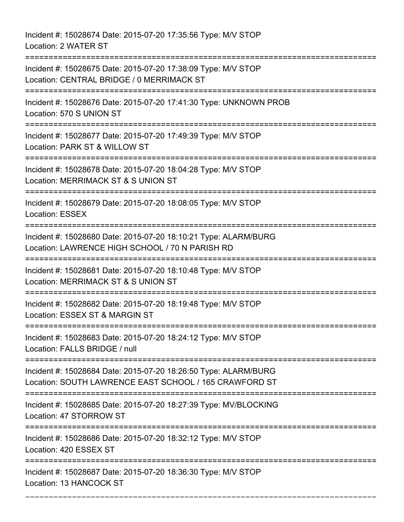Incident #: 15028674 Date: 2015-07-20 17:35:56 Type: M/V STOP Location: 2 WATER ST =========================================================================== Incident #: 15028675 Date: 2015-07-20 17:38:09 Type: M/V STOP Location: CENTRAL BRIDGE / 0 MERRIMACK ST =========================================================================== Incident #: 15028676 Date: 2015-07-20 17:41:30 Type: UNKNOWN PROB Location: 570 S UNION ST =========================================================================== Incident #: 15028677 Date: 2015-07-20 17:49:39 Type: M/V STOP Location: PARK ST & WILLOW ST =========================================================================== Incident #: 15028678 Date: 2015-07-20 18:04:28 Type: M/V STOP Location: MERRIMACK ST & S UNION ST =========================================================================== Incident #: 15028679 Date: 2015-07-20 18:08:05 Type: M/V STOP Location: ESSEX =========================================================================== Incident #: 15028680 Date: 2015-07-20 18:10:21 Type: ALARM/BURG Location: LAWRENCE HIGH SCHOOL / 70 N PARISH RD =========================================================================== Incident #: 15028681 Date: 2015-07-20 18:10:48 Type: M/V STOP Location: MERRIMACK ST & S UNION ST =========================================================================== Incident #: 15028682 Date: 2015-07-20 18:19:48 Type: M/V STOP Location: ESSEX ST & MARGIN ST =========================================================================== Incident #: 15028683 Date: 2015-07-20 18:24:12 Type: M/V STOP Location: FALLS BRIDGE / null =========================================================================== Incident #: 15028684 Date: 2015-07-20 18:26:50 Type: ALARM/BURG Location: SOUTH LAWRENCE EAST SCHOOL / 165 CRAWFORD ST =========================================================================== Incident #: 15028685 Date: 2015-07-20 18:27:39 Type: MV/BLOCKING Location: 47 STORROW ST =========================================================================== Incident #: 15028686 Date: 2015-07-20 18:32:12 Type: M/V STOP Location: 420 ESSEX ST =========================================================================== Incident #: 15028687 Date: 2015-07-20 18:36:30 Type: M/V STOP

===========================================================================

Location: 13 HANCOCK ST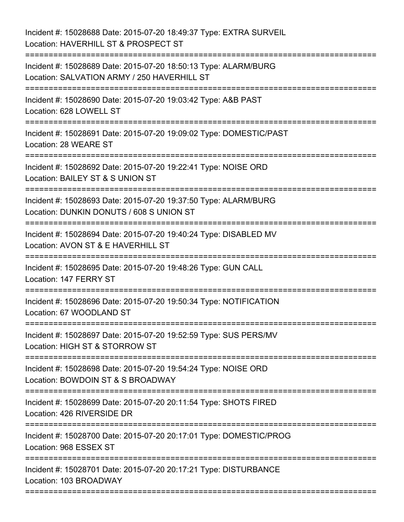| Incident #: 15028688 Date: 2015-07-20 18:49:37 Type: EXTRA SURVEIL<br>Location: HAVERHILL ST & PROSPECT ST                                                                                   |
|----------------------------------------------------------------------------------------------------------------------------------------------------------------------------------------------|
| Incident #: 15028689 Date: 2015-07-20 18:50:13 Type: ALARM/BURG<br>Location: SALVATION ARMY / 250 HAVERHILL ST                                                                               |
| Incident #: 15028690 Date: 2015-07-20 19:03:42 Type: A&B PAST<br>Location: 628 LOWELL ST<br>======================                                                                           |
| Incident #: 15028691 Date: 2015-07-20 19:09:02 Type: DOMESTIC/PAST<br>Location: 28 WEARE ST                                                                                                  |
| Incident #: 15028692 Date: 2015-07-20 19:22:41 Type: NOISE ORD<br>Location: BAILEY ST & S UNION ST                                                                                           |
| Incident #: 15028693 Date: 2015-07-20 19:37:50 Type: ALARM/BURG<br>Location: DUNKIN DONUTS / 608 S UNION ST<br>-------------------------------------<br>-=================================== |
| Incident #: 15028694 Date: 2015-07-20 19:40:24 Type: DISABLED MV<br>Location: AVON ST & E HAVERHILL ST                                                                                       |
| Incident #: 15028695 Date: 2015-07-20 19:48:26 Type: GUN CALL<br>Location: 147 FERRY ST                                                                                                      |
| Incident #: 15028696 Date: 2015-07-20 19:50:34 Type: NOTIFICATION<br>Location: 67 WOODLAND ST                                                                                                |
| Incident #: 15028697 Date: 2015-07-20 19:52:59 Type: SUS PERS/MV<br>Location: HIGH ST & STORROW ST                                                                                           |
| Incident #: 15028698 Date: 2015-07-20 19:54:24 Type: NOISE ORD<br>Location: BOWDOIN ST & S BROADWAY                                                                                          |
| Incident #: 15028699 Date: 2015-07-20 20:11:54 Type: SHOTS FIRED<br>Location: 426 RIVERSIDE DR                                                                                               |
| Incident #: 15028700 Date: 2015-07-20 20:17:01 Type: DOMESTIC/PROG<br>Location: 968 ESSEX ST                                                                                                 |
| Incident #: 15028701 Date: 2015-07-20 20:17:21 Type: DISTURBANCE<br>Location: 103 BROADWAY                                                                                                   |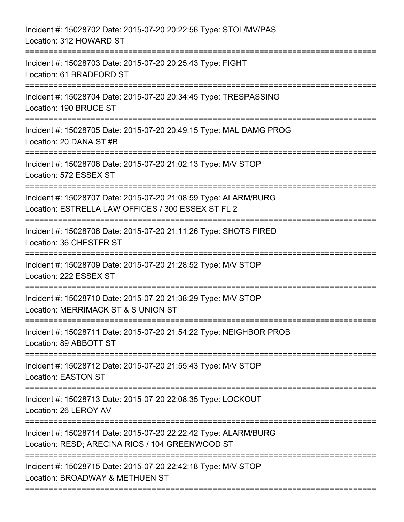| Incident #: 15028702 Date: 2015-07-20 20:22:56 Type: STOL/MV/PAS<br>Location: 312 HOWARD ST                                             |
|-----------------------------------------------------------------------------------------------------------------------------------------|
| Incident #: 15028703 Date: 2015-07-20 20:25:43 Type: FIGHT<br>Location: 61 BRADFORD ST                                                  |
| Incident #: 15028704 Date: 2015-07-20 20:34:45 Type: TRESPASSING<br>Location: 190 BRUCE ST<br>--------------------                      |
| Incident #: 15028705 Date: 2015-07-20 20:49:15 Type: MAL DAMG PROG<br>Location: 20 DANA ST #B                                           |
| Incident #: 15028706 Date: 2015-07-20 21:02:13 Type: M/V STOP<br>Location: 572 ESSEX ST                                                 |
| Incident #: 15028707 Date: 2015-07-20 21:08:59 Type: ALARM/BURG<br>Location: ESTRELLA LAW OFFICES / 300 ESSEX ST FL 2<br>-------------- |
| Incident #: 15028708 Date: 2015-07-20 21:11:26 Type: SHOTS FIRED<br>Location: 36 CHESTER ST<br>==================                       |
| Incident #: 15028709 Date: 2015-07-20 21:28:52 Type: M/V STOP<br>Location: 222 ESSEX ST                                                 |
| Incident #: 15028710 Date: 2015-07-20 21:38:29 Type: M/V STOP<br>Location: MERRIMACK ST & S UNION ST                                    |
| Incident #: 15028711 Date: 2015-07-20 21:54:22 Type: NEIGHBOR PROB<br>Location: 89 ABBOTT ST                                            |
| Incident #: 15028712 Date: 2015-07-20 21:55:43 Type: M/V STOP<br><b>Location: EASTON ST</b>                                             |
| Incident #: 15028713 Date: 2015-07-20 22:08:35 Type: LOCKOUT<br>Location: 26 LEROY AV                                                   |
| Incident #: 15028714 Date: 2015-07-20 22:22:42 Type: ALARM/BURG<br>Location: RESD; ARECINA RIOS / 104 GREENWOOD ST                      |
| Incident #: 15028715 Date: 2015-07-20 22:42:18 Type: M/V STOP<br>Location: BROADWAY & METHUEN ST                                        |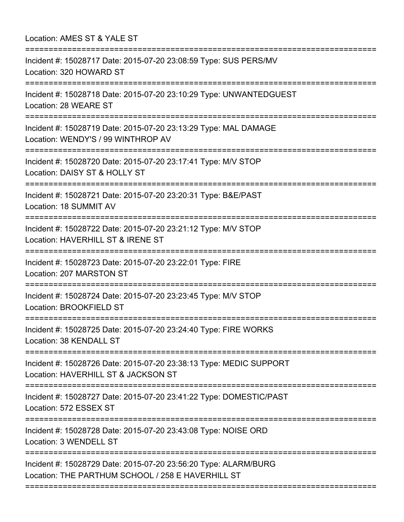Location: AMES ST & YALE ST ===========================================================================

===========================================================================

Incident #: 15028717 Date: 2015-07-20 23:08:59 Type: SUS PERS/MV Location: 320 HOWARD ST =========================================================================== Incident #: 15028718 Date: 2015-07-20 23:10:29 Type: UNWANTEDGUEST Location: 28 WEARE ST ========================= Incident #: 15028719 Date: 2015-07-20 23:13:29 Type: MAL DAMAGE Location: WENDY'S / 99 WINTHROP AV =========================================================================== Incident #: 15028720 Date: 2015-07-20 23:17:41 Type: M/V STOP Location: DAISY ST & HOLLY ST =========================================================================== Incident #: 15028721 Date: 2015-07-20 23:20:31 Type: B&E/PAST Location: 18 SUMMIT AV =========================================================================== Incident #: 15028722 Date: 2015-07-20 23:21:12 Type: M/V STOP Location: HAVERHILL ST & IRENE ST =========================================================================== Incident #: 15028723 Date: 2015-07-20 23:22:01 Type: FIRE Location: 207 MARSTON ST =========================================================================== Incident #: 15028724 Date: 2015-07-20 23:23:45 Type: M/V STOP Location: BROOKFIELD ST =========================================================================== Incident #: 15028725 Date: 2015-07-20 23:24:40 Type: FIRE WORKS Location: 38 KENDALL ST =========================================================================== Incident #: 15028726 Date: 2015-07-20 23:38:13 Type: MEDIC SUPPORT Location: HAVERHILL ST & JACKSON ST =========================================================================== Incident #: 15028727 Date: 2015-07-20 23:41:22 Type: DOMESTIC/PAST Location: 572 ESSEX ST =========================================================================== Incident #: 15028728 Date: 2015-07-20 23:43:08 Type: NOISE ORD Location: 3 WENDELL ST =========================================================================== Incident #: 15028729 Date: 2015-07-20 23:56:20 Type: ALARM/BURG Location: THE PARTHUM SCHOOL / 258 E HAVERHILL ST